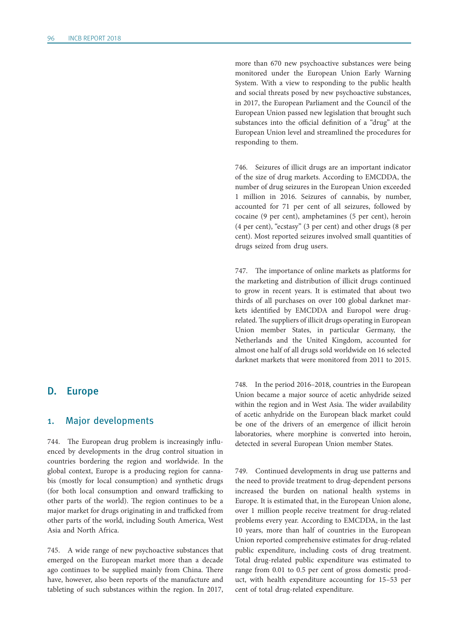# D. Europe

#### 1. Major developments

744. The European drug problem is increasingly influenced by developments in the drug control situation in countries bordering the region and worldwide. In the global context, Europe is a producing region for cannabis (mostly for local consumption) and synthetic drugs (for both local consumption and onward trafficking to other parts of the world). The region continues to be a major market for drugs originating in and trafficked from other parts of the world, including South America, West Asia and North Africa.

745. A wide range of new psychoactive substances that emerged on the European market more than a decade ago continues to be supplied mainly from China. There have, however, also been reports of the manufacture and tableting of such substances within the region. In 2017,

more than 670 new psychoactive substances were being monitored under the European Union Early Warning System. With a view to responding to the public health and social threats posed by new psychoactive substances, in 2017, the European Parliament and the Council of the European Union passed new legislation that brought such substances into the official definition of a "drug" at the European Union level and streamlined the procedures for responding to them.

746. Seizures of illicit drugs are an important indicator of the size of drug markets. According to EMCDDA, the number of drug seizures in the European Union exceeded 1 million in 2016. Seizures of cannabis, by number, accounted for 71 per cent of all seizures, followed by cocaine (9 per cent), amphetamines (5 per cent), heroin (4 per cent), "ecstasy" (3 per cent) and other drugs (8 per cent). Most reported seizures involved small quantities of drugs seized from drug users.

747. The importance of online markets as platforms for the marketing and distribution of illicit drugs continued to grow in recent years. It is estimated that about two thirds of all purchases on over 100 global darknet markets identified by EMCDDA and Europol were drugrelated. The suppliers of illicit drugs operating in European Union member States, in particular Germany, the Netherlands and the United Kingdom, accounted for almost one half of all drugs sold worldwide on 16 selected darknet markets that were monitored from 2011 to 2015.

748. In the period 2016–2018, countries in the European Union became a major source of acetic anhydride seized within the region and in West Asia. The wider availability of acetic anhydride on the European black market could be one of the drivers of an emergence of illicit heroin laboratories, where morphine is converted into heroin, detected in several European Union member States.

749. Continued developments in drug use patterns and the need to provide treatment to drug-dependent persons increased the burden on national health systems in Europe. It is estimated that, in the European Union alone, over 1 million people receive treatment for drug-related problems every year. According to EMCDDA, in the last 10 years, more than half of countries in the European Union reported comprehensive estimates for drug-related public expenditure, including costs of drug treatment. Total drug-related public expenditure was estimated to range from 0.01 to 0.5 per cent of gross domestic product, with health expenditure accounting for 15–53 per cent of total drug-related expenditure.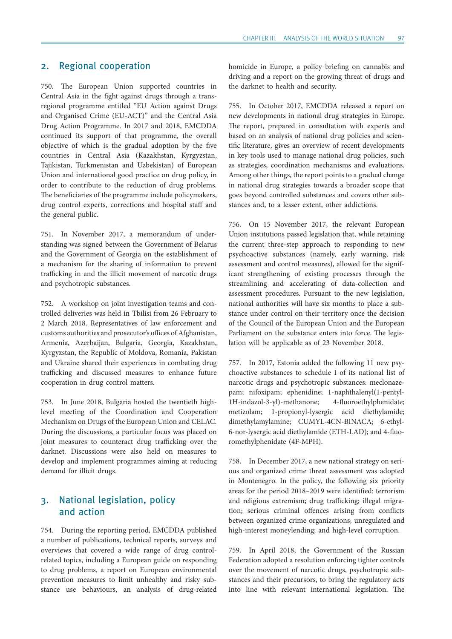## 2. Regional cooperation

750. The European Union supported countries in Central Asia in the fight against drugs through a transregional programme entitled "EU Action against Drugs and Organised Crime (EU-ACT)" and the Central Asia Drug Action Programme. In 2017 and 2018, EMCDDA continued its support of that programme, the overall objective of which is the gradual adoption by the five countries in Central Asia (Kazakhstan, Kyrgyzstan, Tajikistan, Turkmenistan and Uzbekistan) of European Union and international good practice on drug policy, in order to contribute to the reduction of drug problems. The beneficiaries of the programme include policymakers, drug control experts, corrections and hospital staff and the general public.

751. In November 2017, a memorandum of understanding was signed between the Government of Belarus and the Government of Georgia on the establishment of a mechanism for the sharing of information to prevent trafficking in and the illicit movement of narcotic drugs and psychotropic substances.

752. A workshop on joint investigation teams and controlled deliveries was held in Tbilisi from 26 February to 2 March 2018. Representatives of law enforcement and customs authorities and prosecutor's offices of Afghanistan, Armenia, Azerbaijan, Bulgaria, Georgia, Kazakhstan, Kyrgyzstan, the Republic of Moldova, Romania, Pakistan and Ukraine shared their experiences in combating drug trafficking and discussed measures to enhance future cooperation in drug control matters.

753. In June 2018, Bulgaria hosted the twentieth highlevel meeting of the Coordination and Cooperation Mechanism on Drugs of the European Union and CELAC. During the discussions, a particular focus was placed on joint measures to counteract drug trafficking over the darknet. Discussions were also held on measures to develop and implement programmes aiming at reducing demand for illicit drugs.

# 3. National legislation, policy and action

754. During the reporting period, EMCDDA published a number of publications, technical reports, surveys and overviews that covered a wide range of drug controlrelated topics, including a European guide on responding to drug problems, a report on European environmental prevention measures to limit unhealthy and risky substance use behaviours, an analysis of drug-related

homicide in Europe, a policy briefing on cannabis and driving and a report on the growing threat of drugs and the darknet to health and security.

755. In October 2017, EMCDDA released a report on new developments in national drug strategies in Europe. The report, prepared in consultation with experts and based on an analysis of national drug policies and scientific literature, gives an overview of recent developments in key tools used to manage national drug policies, such as strategies, coordination mechanisms and evaluations. Among other things, the report points to a gradual change in national drug strategies towards a broader scope that goes beyond controlled substances and covers other substances and, to a lesser extent, other addictions.

756. On 15 November 2017, the relevant European Union institutions passed legislation that, while retaining the current three-step approach to responding to new psychoactive substances (namely, early warning, risk assessment and control measures), allowed for the significant strengthening of existing processes through the streamlining and accelerating of data-collection and assessment procedures. Pursuant to the new legislation, national authorities will have six months to place a substance under control on their territory once the decision of the Council of the European Union and the European Parliament on the substance enters into force. The legislation will be applicable as of 23 November 2018.

757. In 2017, Estonia added the following 11 new psychoactive substances to schedule I of its national list of narcotic drugs and psychotropic substances: meclonazepam; nifoxipam; ephenidine; 1-naphthalenyl(1-pentyl-1H-indazol-3-yl)-methanone; 4-fluoroethylphenidate; metizolam; 1-propionyl-lysergic acid diethylamide; dimethylamylamine; CUMYL-4CN-BINACA; 6-ethyl-6-nor-lysergic acid diethylamide (ETH-LAD); and 4-fluoromethylphenidate (4F-MPH).

758. In December 2017, a new national strategy on serious and organized crime threat assessment was adopted in Montenegro. In the policy, the following six priority areas for the period 2018–2019 were identified: terrorism and religious extremism; drug trafficking; illegal migration; serious criminal offences arising from conflicts between organized crime organizations; unregulated and high-interest moneylending; and high-level corruption.

759. In April 2018, the Government of the Russian Federation adopted a resolution enforcing tighter controls over the movement of narcotic drugs, psychotropic substances and their precursors, to bring the regulatory acts into line with relevant international legislation. The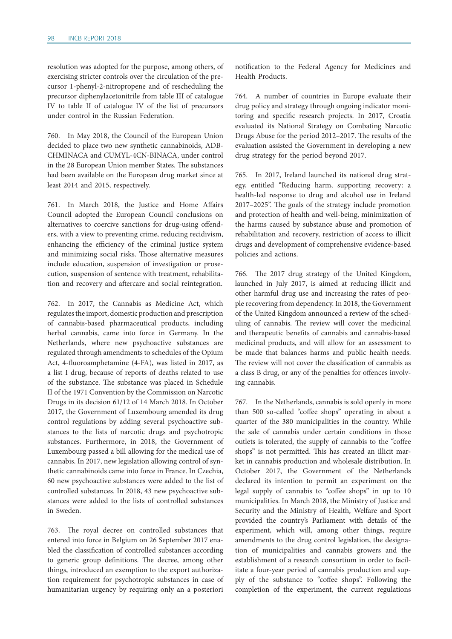resolution was adopted for the purpose, among others, of exercising stricter controls over the circulation of the precursor 1-phenyl-2-nitropropene and of rescheduling the precursor diphenylacetonitrile from table III of catalogue IV to table II of catalogue IV of the list of precursors under control in the Russian Federation.

760. In May 2018, the Council of the European Union decided to place two new synthetic cannabinoids, ADB-CHMINACA and CUMYL-4CN-BINACA, under control in the 28 European Union member States. The substances had been available on the European drug market since at least 2014 and 2015, respectively.

761. In March 2018, the Justice and Home Affairs Council adopted the European Council conclusions on alternatives to coercive sanctions for drug-using offenders, with a view to preventing crime, reducing recidivism, enhancing the efficiency of the criminal justice system and minimizing social risks. Those alternative measures include education, suspension of investigation or prosecution, suspension of sentence with treatment, rehabilitation and recovery and aftercare and social reintegration.

762. In 2017, the Cannabis as Medicine Act, which regulates the import, domestic production and prescription of cannabis-based pharmaceutical products, including herbal cannabis, came into force in Germany. In the Netherlands, where new psychoactive substances are regulated through amendments to schedules of the Opium Act, 4-fluoroamphetamine (4-FA), was listed in 2017, as a list I drug, because of reports of deaths related to use of the substance. The substance was placed in Schedule II of the 1971 Convention by the Commission on Narcotic Drugs in its decision 61/12 of 14 March 2018. In October 2017, the Government of Luxembourg amended its drug control regulations by adding several psychoactive substances to the lists of narcotic drugs and psychotropic substances. Furthermore, in 2018, the Government of Luxembourg passed a bill allowing for the medical use of cannabis. In 2017, new legislation allowing control of synthetic cannabinoids came into force in France. In Czechia, 60 new psychoactive substances were added to the list of controlled substances. In 2018, 43 new psychoactive substances were added to the lists of controlled substances in Sweden.

763. The royal decree on controlled substances that entered into force in Belgium on 26 September 2017 enabled the classification of controlled substances according to generic group definitions. The decree, among other things, introduced an exemption to the export authorization requirement for psychotropic substances in case of humanitarian urgency by requiring only an a posteriori

notification to the Federal Agency for Medicines and Health Products.

764. A number of countries in Europe evaluate their drug policy and strategy through ongoing indicator monitoring and specific research projects. In 2017, Croatia evaluated its National Strategy on Combating Narcotic Drugs Abuse for the period 2012–2017. The results of the evaluation assisted the Government in developing a new drug strategy for the period beyond 2017.

765. In 2017, Ireland launched its national drug strategy, entitled "Reducing harm, supporting recovery: a health-led response to drug and alcohol use in Ireland 2017–2025". The goals of the strategy include promotion and protection of health and well-being, minimization of the harms caused by substance abuse and promotion of rehabilitation and recovery, restriction of access to illicit drugs and development of comprehensive evidence-based policies and actions.

766. The 2017 drug strategy of the United Kingdom, launched in July 2017, is aimed at reducing illicit and other harmful drug use and increasing the rates of people recovering from dependency. In 2018, the Government of the United Kingdom announced a review of the scheduling of cannabis. The review will cover the medicinal and therapeutic benefits of cannabis and cannabis-based medicinal products, and will allow for an assessment to be made that balances harms and public health needs. The review will not cover the classification of cannabis as a class B drug, or any of the penalties for offences involving cannabis.

767. In the Netherlands, cannabis is sold openly in more than 500 so-called "coffee shops" operating in about a quarter of the 380 municipalities in the country. While the sale of cannabis under certain conditions in those outlets is tolerated, the supply of cannabis to the "coffee shops" is not permitted. This has created an illicit market in cannabis production and wholesale distribution. In October 2017, the Government of the Netherlands declared its intention to permit an experiment on the legal supply of cannabis to "coffee shops" in up to 10 municipalities. In March 2018, the Ministry of Justice and Security and the Ministry of Health, Welfare and Sport provided the country's Parliament with details of the experiment, which will, among other things, require amendments to the drug control legislation, the designation of municipalities and cannabis growers and the establishment of a research consortium in order to facilitate a four-year period of cannabis production and supply of the substance to "coffee shops". Following the completion of the experiment, the current regulations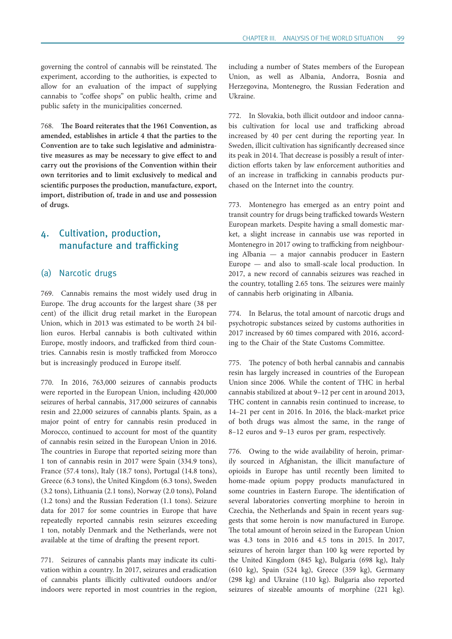governing the control of cannabis will be reinstated. The experiment, according to the authorities, is expected to allow for an evaluation of the impact of supplying cannabis to "coffee shops" on public health, crime and public safety in the municipalities concerned.

768. **The Board reiterates that the 1961 Convention, as amended, establishes in article 4 that the parties to the Convention are to take such legislative and administrative measures as may be necessary to give effect to and carry out the provisions of the Convention within their own territories and to limit exclusively to medical and scientific purposes the production, manufacture, export, import, distribution of, trade in and use and possession of drugs.**

# 4. Cultivation, production, manufacture and trafficking

#### (a) Narcotic drugs

769. Cannabis remains the most widely used drug in Europe. The drug accounts for the largest share (38 per cent) of the illicit drug retail market in the European Union, which in 2013 was estimated to be worth 24 billion euros. Herbal cannabis is both cultivated within Europe, mostly indoors, and trafficked from third countries. Cannabis resin is mostly trafficked from Morocco but is increasingly produced in Europe itself.

770. In 2016, 763,000 seizures of cannabis products were reported in the European Union, including 420,000 seizures of herbal cannabis, 317,000 seizures of cannabis resin and 22,000 seizures of cannabis plants. Spain, as a major point of entry for cannabis resin produced in Morocco, continued to account for most of the quantity of cannabis resin seized in the European Union in 2016. The countries in Europe that reported seizing more than 1 ton of cannabis resin in 2017 were Spain (334.9 tons), France (57.4 tons), Italy (18.7 tons), Portugal (14.8 tons), Greece (6.3 tons), the United Kingdom (6.3 tons), Sweden (3.2 tons), Lithuania (2.1 tons), Norway (2.0 tons), Poland (1.2 tons) and the Russian Federation (1.1 tons). Seizure data for 2017 for some countries in Europe that have repeatedly reported cannabis resin seizures exceeding 1 ton, notably Denmark and the Netherlands, were not available at the time of drafting the present report.

771. Seizures of cannabis plants may indicate its cultivation within a country. In 2017, seizures and eradication of cannabis plants illicitly cultivated outdoors and/or indoors were reported in most countries in the region,

including a number of States members of the European Union, as well as Albania, Andorra, Bosnia and Herzegovina, Montenegro, the Russian Federation and Ukraine.

772. In Slovakia, both illicit outdoor and indoor cannabis cultivation for local use and trafficking abroad increased by 40 per cent during the reporting year. In Sweden, illicit cultivation has significantly decreased since its peak in 2014. That decrease is possibly a result of interdiction efforts taken by law enforcement authorities and of an increase in trafficking in cannabis products purchased on the Internet into the country.

773. Montenegro has emerged as an entry point and transit country for drugs being trafficked towards Western European markets. Despite having a small domestic market, a slight increase in cannabis use was reported in Montenegro in 2017 owing to trafficking from neighbouring Albania — a major cannabis producer in Eastern Europe — and also to small-scale local production. In 2017, a new record of cannabis seizures was reached in the country, totalling 2.65 tons. The seizures were mainly of cannabis herb originating in Albania.

774. In Belarus, the total amount of narcotic drugs and psychotropic substances seized by customs authorities in 2017 increased by 60 times compared with 2016, according to the Chair of the State Customs Committee.

775. The potency of both herbal cannabis and cannabis resin has largely increased in countries of the European Union since 2006. While the content of THC in herbal cannabis stabilized at about 9–12 per cent in around 2013, THC content in cannabis resin continued to increase, to 14–21 per cent in 2016. In 2016, the black-market price of both drugs was almost the same, in the range of 8–12 euros and 9–13 euros per gram, respectively.

776. Owing to the wide availability of heroin, primarily sourced in Afghanistan, the illicit manufacture of opioids in Europe has until recently been limited to home-made opium poppy products manufactured in some countries in Eastern Europe. The identification of several laboratories converting morphine to heroin in Czechia, the Netherlands and Spain in recent years suggests that some heroin is now manufactured in Europe. The total amount of heroin seized in the European Union was 4.3 tons in 2016 and 4.5 tons in 2015. In 2017, seizures of heroin larger than 100 kg were reported by the United Kingdom (845 kg), Bulgaria (698 kg), Italy (610 kg), Spain (524 kg), Greece (359 kg), Germany (298 kg) and Ukraine (110 kg). Bulgaria also reported seizures of sizeable amounts of morphine (221 kg).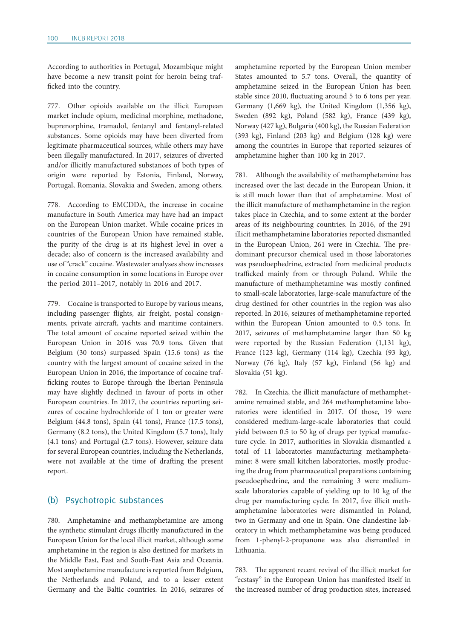According to authorities in Portugal, Mozambique might have become a new transit point for heroin being trafficked into the country.

777. Other opioids available on the illicit European market include opium, medicinal morphine, methadone, buprenorphine, tramadol, fentanyl and fentanyl-related substances. Some opioids may have been diverted from legitimate pharmaceutical sources, while others may have been illegally manufactured. In 2017, seizures of diverted and/or illicitly manufactured substances of both types of origin were reported by Estonia, Finland, Norway, Portugal, Romania, Slovakia and Sweden, among others.

778. According to EMCDDA, the increase in cocaine manufacture in South America may have had an impact on the European Union market. While cocaine prices in countries of the European Union have remained stable, the purity of the drug is at its highest level in over a decade; also of concern is the increased availability and use of "crack" cocaine. Wastewater analyses show increases in cocaine consumption in some locations in Europe over the period 2011–2017, notably in 2016 and 2017.

779. Cocaine is transported to Europe by various means, including passenger flights, air freight, postal consignments, private aircraft, yachts and maritime containers. The total amount of cocaine reported seized within the European Union in 2016 was 70.9 tons. Given that Belgium (30 tons) surpassed Spain (15.6 tons) as the country with the largest amount of cocaine seized in the European Union in 2016, the importance of cocaine trafficking routes to Europe through the Iberian Peninsula may have slightly declined in favour of ports in other European countries. In 2017, the countries reporting seizures of cocaine hydrochloride of 1 ton or greater were Belgium (44.8 tons), Spain (41 tons), France (17.5 tons), Germany (8.2 tons), the United Kingdom (5.7 tons), Italy (4.1 tons) and Portugal (2.7 tons). However, seizure data for several European countries, including the Netherlands, were not available at the time of drafting the present report.

#### (b) Psychotropic substances

780. Amphetamine and methamphetamine are among the synthetic stimulant drugs illicitly manufactured in the European Union for the local illicit market, although some amphetamine in the region is also destined for markets in the Middle East, East and South-East Asia and Oceania. Most amphetamine manufacture is reported from Belgium, the Netherlands and Poland, and to a lesser extent Germany and the Baltic countries. In 2016, seizures of amphetamine reported by the European Union member States amounted to 5.7 tons. Overall, the quantity of amphetamine seized in the European Union has been stable since 2010, fluctuating around 5 to 6 tons per year. Germany (1,669 kg), the United Kingdom (1,356 kg), Sweden (892 kg), Poland (582 kg), France (439 kg), Norway (427 kg), Bulgaria (400 kg), the Russian Federation (393 kg), Finland (203 kg) and Belgium (128 kg) were among the countries in Europe that reported seizures of amphetamine higher than 100 kg in 2017.

781. Although the availability of methamphetamine has increased over the last decade in the European Union, it is still much lower than that of amphetamine. Most of the illicit manufacture of methamphetamine in the region takes place in Czechia, and to some extent at the border areas of its neighbouring countries. In 2016, of the 291 illicit methamphetamine laboratories reported dismantled in the European Union, 261 were in Czechia. The predominant precursor chemical used in those laboratories was pseudoephedrine, extracted from medicinal products trafficked mainly from or through Poland. While the manufacture of methamphetamine was mostly confined to small-scale laboratories, large-scale manufacture of the drug destined for other countries in the region was also reported. In 2016, seizures of methamphetamine reported within the European Union amounted to 0.5 tons. In 2017, seizures of methamphetamine larger than 50 kg were reported by the Russian Federation (1,131 kg), France (123 kg), Germany (114 kg), Czechia (93 kg), Norway (76 kg), Italy (57 kg), Finland (56 kg) and Slovakia (51 kg).

782. In Czechia, the illicit manufacture of methamphetamine remained stable, and 264 methamphetamine laboratories were identified in 2017. Of those, 19 were considered medium-large-scale laboratories that could yield between 0.5 to 50 kg of drugs per typical manufacture cycle. In 2017, authorities in Slovakia dismantled a total of 11 laboratories manufacturing methamphetamine: 8 were small kitchen laboratories, mostly producing the drug from pharmaceutical preparations containing pseudoephedrine, and the remaining 3 were mediumscale laboratories capable of yielding up to 10 kg of the drug per manufacturing cycle. In 2017, five illicit methamphetamine laboratories were dismantled in Poland, two in Germany and one in Spain. One clandestine laboratory in which methamphetamine was being produced from 1-phenyl-2-propanone was also dismantled in Lithuania.

783. The apparent recent revival of the illicit market for "ecstasy" in the European Union has manifested itself in the increased number of drug production sites, increased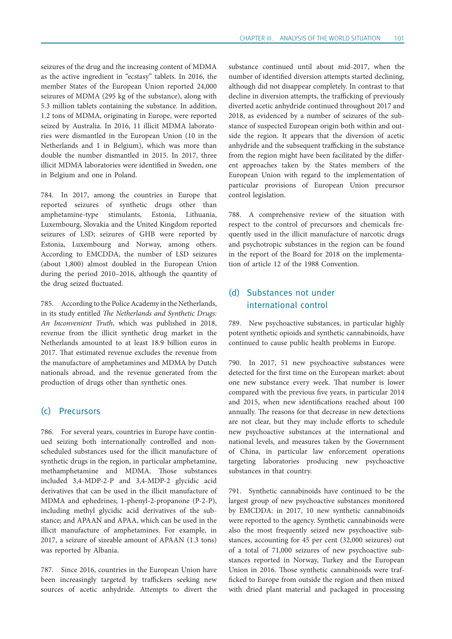seizures of the drug and the increasing content of MDMA as the active ingredient in "ecstasy" tablets. In 2016, the member States of the European Union reported 24,000 seizures of MDMA (295 kg of the substance), along with 5.3 million tablets containing the substance. In addition, 1.2 tons of MDMA, originating in Europe, were reported seized by Australia. In 2016, 11 illicit MDMA laboratories were dismantled in the European Union (10 in the Netherlands and 1 in Belgium), which was more than double the number dismantled in 2015. In 2017, three illicit MDMA laboratories were identified in Sweden, one in Belgium and one in Poland.

784. In 2017, among the countries in Europe that reported seizures of synthetic drugs other than amphetamine-type stimulants, Estonia, Lithuania, Luxembourg, Slovakia and the United Kingdom reported seizures of LSD; seizures of GHB were reported by Estonia, Luxembourg and Norway, among others. According to EMCDDA, the number of LSD seizures (about 1,800) almost doubled in the European Union during the period 2010–2016, although the quantity of the drug seized fluctuated.

785. According to the Police Academy in the Netherlands, in its study entitled *The Netherlands and Synthetic Drugs: An Inconvenient Truth*, which was published in 2018, revenue from the illicit synthetic drug market in the Netherlands amounted to at least 18.9 billion euros in 2017. That estimated revenue excludes the revenue from the manufacture of amphetamines and MDMA by Dutch nationals abroad, and the revenue generated from the production of drugs other than synthetic ones.

## (c) Precursors

786. For several years, countries in Europe have continued seizing both internationally controlled and nonscheduled substances used for the illicit manufacture of synthetic drugs in the region, in particular amphetamine, methamphetamine and MDMA. Those substances included 3,4-MDP-2-P and 3,4-MDP-2 glycidic acid derivatives that can be used in the illicit manufacture of MDMA and ephedrines; 1-phenyl-2-propanone (P-2-P), including methyl glycidic acid derivatives of the substance; and APAAN and APAA, which can be used in the illicit manufacture of amphetamines. For example, in 2017, a seizure of sizeable amount of APAAN (1.3 tons) was reported by Albania.

787. Since 2016, countries in the European Union have been increasingly targeted by traffickers seeking new sources of acetic anhydride. Attempts to divert the substance continued until about mid-2017, when the number of identified diversion attempts started declining, although did not disappear completely. In contrast to that decline in diversion attempts, the trafficking of previously diverted acetic anhydride continued throughout 2017 and 2018, as evidenced by a number of seizures of the substance of suspected European origin both within and outside the region. It appears that the diversion of acetic anhydride and the subsequent trafficking in the substance from the region might have been facilitated by the different approaches taken by the States members of the European Union with regard to the implementation of particular provisions of European Union precursor control legislation.

788. A comprehensive review of the situation with respect to the control of precursors and chemicals frequently used in the illicit manufacture of narcotic drugs and psychotropic substances in the region can be found in the report of the Board for 2018 on the implementation of article 12 of the 1988 Convention.

# (d) Substances not under international control

789. New psychoactive substances, in particular highly potent synthetic opioids and synthetic cannabinoids, have continued to cause public health problems in Europe.

790. In 2017, 51 new psychoactive substances were detected for the first time on the European market: about one new substance every week. That number is lower compared with the previous five years, in particular 2014 and 2015, when new identifications reached about 100 annually. The reasons for that decrease in new detections are not clear, but they may include efforts to schedule new psychoactive substances at the international and national levels, and measures taken by the Government of China, in particular law enforcement operations targeting laboratories producing new psychoactive substances in that country.

791. Synthetic cannabinoids have continued to be the largest group of new psychoactive substances monitored by EMCDDA: in 2017, 10 new synthetic cannabinoids were reported to the agency. Synthetic cannabinoids were also the most frequently seized new psychoactive substances, accounting for 45 per cent (32,000 seizures) out of a total of 71,000 seizures of new psychoactive substances reported in Norway, Turkey and the European Union in 2016. Those synthetic cannabinoids were trafficked to Europe from outside the region and then mixed with dried plant material and packaged in processing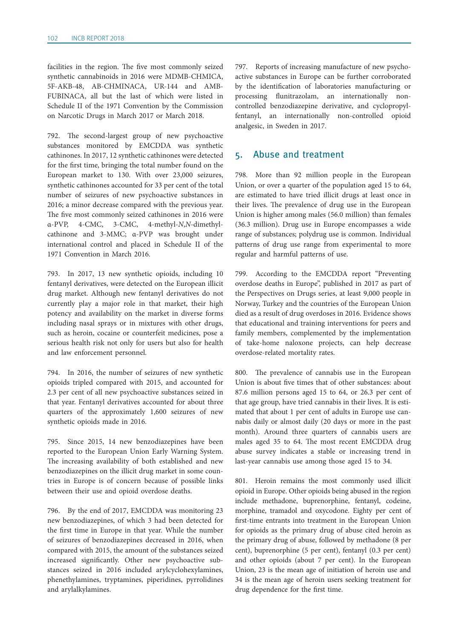facilities in the region. The five most commonly seized synthetic cannabinoids in 2016 were MDMB-CHMICA, 5F-AKB-48, AB-CHMINACA, UR-144 and AMB-FUBINACA, all but the last of which were listed in Schedule II of the 1971 Convention by the Commission on Narcotic Drugs in March 2017 or March 2018.

792. The second-largest group of new psychoactive substances monitored by EMCDDA was synthetic cathinones. In 2017, 12 synthetic cathinones were detected for the first time, bringing the total number found on the European market to 130. With over 23,000 seizures, synthetic cathinones accounted for 33 per cent of the total number of seizures of new psychoactive substances in 2016; a minor decrease compared with the previous year. The five most commonly seized cathinones in 2016 were α-PVP, 4-CMC, 3-CMC, 4-methyl-*N*,*N*-dimethylcathinone and 3-MMC; α-PVP was brought under international control and placed in Schedule II of the 1971 Convention in March 2016.

793. In 2017, 13 new synthetic opioids, including 10 fentanyl derivatives, were detected on the European illicit drug market. Although new fentanyl derivatives do not currently play a major role in that market, their high potency and availability on the market in diverse forms including nasal sprays or in mixtures with other drugs, such as heroin, cocaine or counterfeit medicines, pose a serious health risk not only for users but also for health and law enforcement personnel.

794. In 2016, the number of seizures of new synthetic opioids tripled compared with 2015, and accounted for 2.3 per cent of all new psychoactive substances seized in that year. Fentanyl derivatives accounted for about three quarters of the approximately 1,600 seizures of new synthetic opioids made in 2016.

795. Since 2015, 14 new benzodiazepines have been reported to the European Union Early Warning System. The increasing availability of both established and new benzodiazepines on the illicit drug market in some countries in Europe is of concern because of possible links between their use and opioid overdose deaths.

796. By the end of 2017, EMCDDA was monitoring 23 new benzodiazepines, of which 3 had been detected for the first time in Europe in that year. While the number of seizures of benzodiazepines decreased in 2016, when compared with 2015, the amount of the substances seized increased significantly. Other new psychoactive substances seized in 2016 included arylcyclohexylamines, phenethylamines, tryptamines, piperidines, pyrrolidines and arylalkylamines.

797. Reports of increasing manufacture of new psychoactive substances in Europe can be further corroborated by the identification of laboratories manufacturing or processing flunitrazolam, an internationally noncontrolled benzodiazepine derivative, and cyclopropylfentanyl, an internationally non-controlled opioid analgesic, in Sweden in 2017.

## 5. Abuse and treatment

798. More than 92 million people in the European Union, or over a quarter of the population aged 15 to 64, are estimated to have tried illicit drugs at least once in their lives. The prevalence of drug use in the European Union is higher among males (56.0 million) than females (36.3 million). Drug use in Europe encompasses a wide range of substances; polydrug use is common. Individual patterns of drug use range from experimental to more regular and harmful patterns of use.

799. According to the EMCDDA report "Preventing overdose deaths in Europe", published in 2017 as part of the Perspectives on Drugs series, at least 9,000 people in Norway, Turkey and the countries of the European Union died as a result of drug overdoses in 2016. Evidence shows that educational and training interventions for peers and family members, complemented by the implementation of take-home naloxone projects, can help decrease overdose-related mortality rates.

800. The prevalence of cannabis use in the European Union is about five times that of other substances: about 87.6 million persons aged 15 to 64, or 26.3 per cent of that age group, have tried cannabis in their lives. It is estimated that about 1 per cent of adults in Europe use cannabis daily or almost daily (20 days or more in the past month). Around three quarters of cannabis users are males aged 35 to 64. The most recent EMCDDA drug abuse survey indicates a stable or increasing trend in last-year cannabis use among those aged 15 to 34.

801. Heroin remains the most commonly used illicit opioid in Europe. Other opioids being abused in the region include methadone, buprenorphine, fentanyl, codeine, morphine, tramadol and oxycodone. Eighty per cent of first-time entrants into treatment in the European Union for opioids as the primary drug of abuse cited heroin as the primary drug of abuse, followed by methadone (8 per cent), buprenorphine (5 per cent), fentanyl (0.3 per cent) and other opioids (about 7 per cent). In the European Union, 23 is the mean age of initiation of heroin use and 34 is the mean age of heroin users seeking treatment for drug dependence for the first time.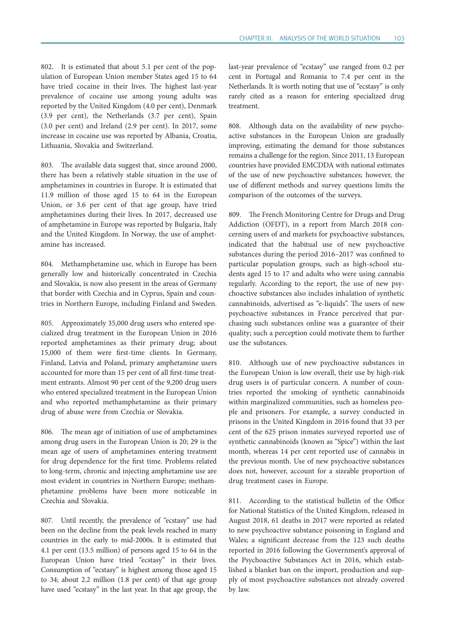802. It is estimated that about 5.1 per cent of the population of European Union member States aged 15 to 64 have tried cocaine in their lives. The highest last-year prevalence of cocaine use among young adults was reported by the United Kingdom (4.0 per cent), Denmark (3.9 per cent), the Netherlands (3.7 per cent), Spain (3.0 per cent) and Ireland (2.9 per cent). In 2017, some increase in cocaine use was reported by Albania, Croatia, Lithuania, Slovakia and Switzerland.

803. The available data suggest that, since around 2000, there has been a relatively stable situation in the use of amphetamines in countries in Europe. It is estimated that 11.9 million of those aged 15 to 64 in the European Union, or 3.6 per cent of that age group, have tried amphetamines during their lives. In 2017, decreased use of amphetamine in Europe was reported by Bulgaria, Italy and the United Kingdom. In Norway, the use of amphetamine has increased.

804. Methamphetamine use, which in Europe has been generally low and historically concentrated in Czechia and Slovakia, is now also present in the areas of Germany that border with Czechia and in Cyprus, Spain and countries in Northern Europe, including Finland and Sweden.

805. Approximately 35,000 drug users who entered specialized drug treatment in the European Union in 2016 reported amphetamines as their primary drug; about 15,000 of them were first-time clients. In Germany, Finland, Latvia and Poland, primary amphetamine users accounted for more than 15 per cent of all first-time treatment entrants. Almost 90 per cent of the 9,200 drug users who entered specialized treatment in the European Union and who reported methamphetamine as their primary drug of abuse were from Czechia or Slovakia.

806. The mean age of initiation of use of amphetamines among drug users in the European Union is 20; 29 is the mean age of users of amphetamines entering treatment for drug dependence for the first time. Problems related to long-term, chronic and injecting amphetamine use are most evident in countries in Northern Europe; methamphetamine problems have been more noticeable in Czechia and Slovakia.

807. Until recently, the prevalence of "ecstasy" use had been on the decline from the peak levels reached in many countries in the early to mid-2000s. It is estimated that 4.1 per cent (13.5 million) of persons aged 15 to 64 in the European Union have tried "ecstasy" in their lives. Consumption of "ecstasy" is highest among those aged 15 to 34; about 2.2 million (1.8 per cent) of that age group have used "ecstasy" in the last year. In that age group, the

last-year prevalence of "ecstasy" use ranged from 0.2 per cent in Portugal and Romania to 7.4 per cent in the Netherlands. It is worth noting that use of "ecstasy" is only rarely cited as a reason for entering specialized drug treatment.

808. Although data on the availability of new psychoactive substances in the European Union are gradually improving, estimating the demand for those substances remains a challenge for the region. Since 2011, 13 European countries have provided EMCDDA with national estimates of the use of new psychoactive substances; however, the use of different methods and survey questions limits the comparison of the outcomes of the surveys.

809. The French Monitoring Centre for Drugs and Drug Addiction (OFDT), in a report from March 2018 concerning users of and markets for psychoactive substances, indicated that the habitual use of new psychoactive substances during the period 2016–2017 was confined to particular population groups, such as high-school students aged 15 to 17 and adults who were using cannabis regularly. According to the report, the use of new psychoactive substances also includes inhalation of synthetic cannabinoids, advertised as "e-liquids". The users of new psychoactive substances in France perceived that purchasing such substances online was a guarantee of their quality; such a perception could motivate them to further use the substances.

810. Although use of new psychoactive substances in the European Union is low overall, their use by high-risk drug users is of particular concern. A number of countries reported the smoking of synthetic cannabinoids within marginalized communities, such as homeless people and prisoners. For example, a survey conducted in prisons in the United Kingdom in 2016 found that 33 per cent of the 625 prison inmates surveyed reported use of synthetic cannabinoids (known as "Spice") within the last month, whereas 14 per cent reported use of cannabis in the previous month. Use of new psychoactive substances does not, however, account for a sizeable proportion of drug treatment cases in Europe.

811. According to the statistical bulletin of the Office for National Statistics of the United Kingdom, released in August 2018, 61 deaths in 2017 were reported as related to new psychoactive substance poisoning in England and Wales; a significant decrease from the 123 such deaths reported in 2016 following the Government's approval of the Psychoactive Substances Act in 2016, which established a blanket ban on the import, production and supply of most psychoactive substances not already covered by law.